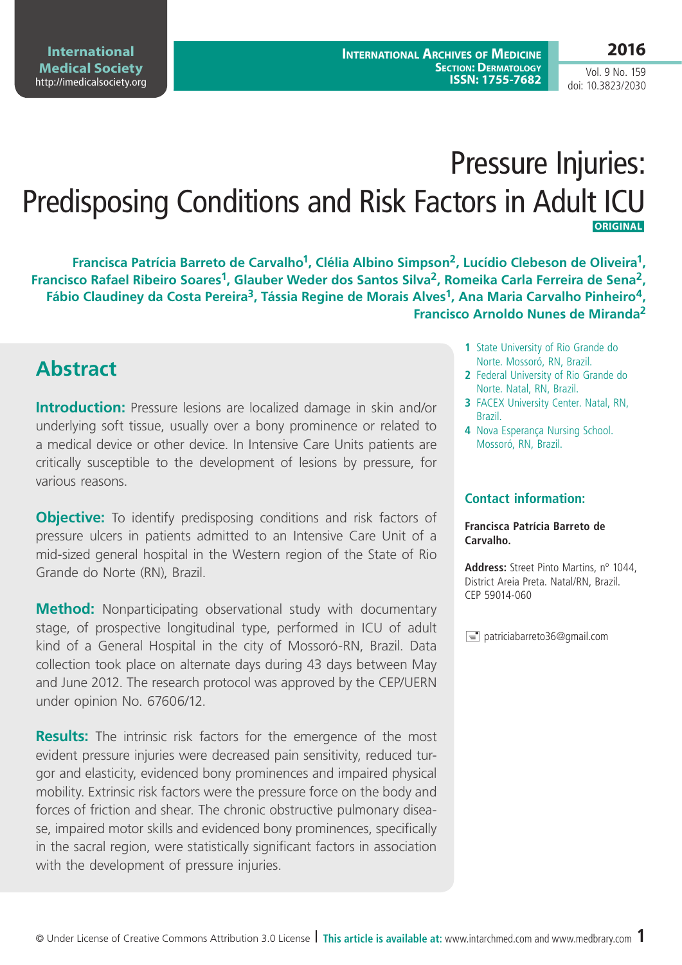# Pressure Injuries: Predisposing Conditions and Risk Factors in Adult ICU  **ORIGINAL**

Francisca Patrícia Barreto de Carvalho<sup>1</sup>, Clélia Albino Simpson<sup>2</sup>, Lucídio Clebeson de Oliveira<sup>1</sup>, **Francisco Rafael Ribeiro Soares1, Glauber Weder dos Santos Silva2, Romeika Carla Ferreira de Sena2, Fábio Claudiney da Costa Pereira3, Tássia Regine de Morais Alves1, Ana Maria Carvalho Pinheiro4, Francisco Arnoldo Nunes de Miranda2**

### **Abstract**

**Introduction:** Pressure lesions are localized damage in skin and/or underlying soft tissue, usually over a bony prominence or related to a medical device or other device. In Intensive Care Units patients are critically susceptible to the development of lesions by pressure, for various reasons.

**Objective:** To identify predisposing conditions and risk factors of pressure ulcers in patients admitted to an Intensive Care Unit of a mid-sized general hospital in the Western region of the State of Rio Grande do Norte (RN), Brazil.

**Method:** Nonparticipating observational study with documentary stage, of prospective longitudinal type, performed in ICU of adult kind of a General Hospital in the city of Mossoró-RN, Brazil. Data collection took place on alternate days during 43 days between May and June 2012. The research protocol was approved by the CEP/UERN under opinion No. 67606/12.

**Results:** The intrinsic risk factors for the emergence of the most evident pressure injuries were decreased pain sensitivity, reduced turgor and elasticity, evidenced bony prominences and impaired physical mobility. Extrinsic risk factors were the pressure force on the body and forces of friction and shear. The chronic obstructive pulmonary disease, impaired motor skills and evidenced bony prominences, specifically in the sacral region, were statistically significant factors in association with the development of pressure injuries.

- **1** State University of Rio Grande do Norte. Mossoró, RN, Brazil.
- **2** Federal University of Rio Grande do Norte. Natal, RN, Brazil.
- **3** FACEX University Center. Natal, RN, Brazil.
- **4** Nova Esperança Nursing School. Mossoró, RN, Brazil.

#### **Contact information:**

#### **Francisca Patrícia Barreto de Carvalho.**

**Address:** Street Pinto Martins, nº 1044, District Areia Preta. Natal/RN, Brazil. CEP 59014-060

 $\equiv$  patriciabarreto36@gmail.com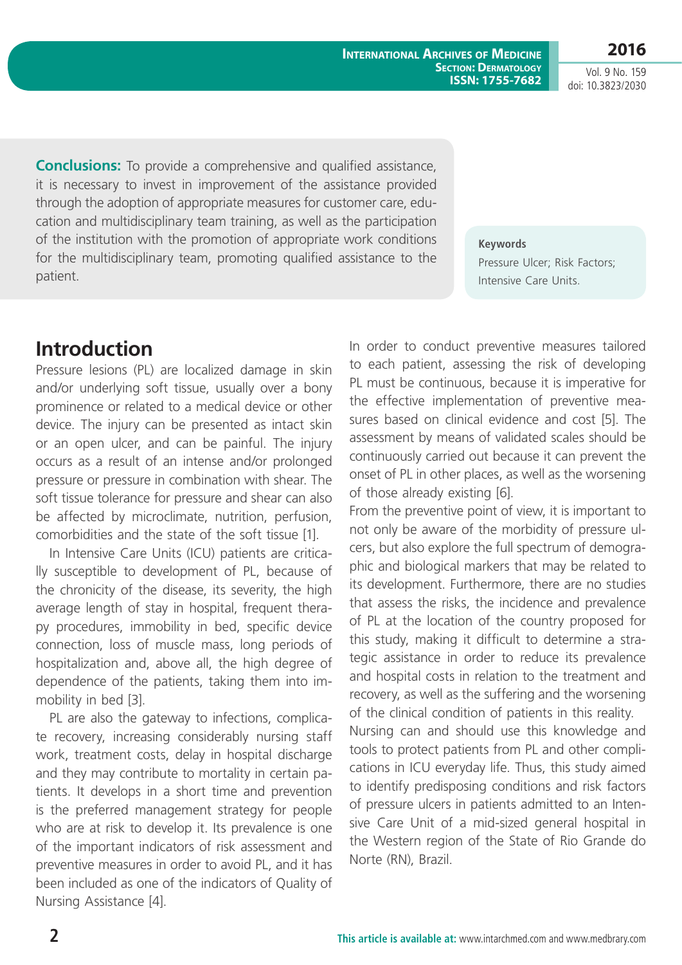**International Archives of Medicine Section: Dermatology ISSN: 1755-7682**

**2016** Vol. 9 No. 159

doi: 10.3823/2030

**Conclusions:** To provide a comprehensive and qualified assistance, it is necessary to invest in improvement of the assistance provided through the adoption of appropriate measures for customer care, education and multidisciplinary team training, as well as the participation of the institution with the promotion of appropriate work conditions for the multidisciplinary team, promoting qualified assistance to the patient.

**Keywords**

Pressure Ulcer; Risk Factors; Intensive Care Units.

### **Introduction**

Pressure lesions (PL) are localized damage in skin and/or underlying soft tissue, usually over a bony prominence or related to a medical device or other device. The injury can be presented as intact skin or an open ulcer, and can be painful. The injury occurs as a result of an intense and/or prolonged pressure or pressure in combination with shear. The soft tissue tolerance for pressure and shear can also be affected by microclimate, nutrition, perfusion, comorbidities and the state of the soft tissue [1].

In Intensive Care Units (ICU) patients are critically susceptible to development of PL, because of the chronicity of the disease, its severity, the high average length of stay in hospital, frequent therapy procedures, immobility in bed, specific device connection, loss of muscle mass, long periods of hospitalization and, above all, the high degree of dependence of the patients, taking them into immobility in bed [3].

PL are also the gateway to infections, complicate recovery, increasing considerably nursing staff work, treatment costs, delay in hospital discharge and they may contribute to mortality in certain patients. It develops in a short time and prevention is the preferred management strategy for people who are at risk to develop it. Its prevalence is one of the important indicators of risk assessment and preventive measures in order to avoid PL, and it has been included as one of the indicators of Quality of Nursing Assistance [4].

In order to conduct preventive measures tailored to each patient, assessing the risk of developing PL must be continuous, because it is imperative for the effective implementation of preventive measures based on clinical evidence and cost [5]. The assessment by means of validated scales should be continuously carried out because it can prevent the onset of PL in other places, as well as the worsening of those already existing [6].

From the preventive point of view, it is important to not only be aware of the morbidity of pressure ulcers, but also explore the full spectrum of demographic and biological markers that may be related to its development. Furthermore, there are no studies that assess the risks, the incidence and prevalence of PL at the location of the country proposed for this study, making it difficult to determine a strategic assistance in order to reduce its prevalence and hospital costs in relation to the treatment and recovery, as well as the suffering and the worsening of the clinical condition of patients in this reality.

Nursing can and should use this knowledge and tools to protect patients from PL and other complications in ICU everyday life. Thus, this study aimed to identify predisposing conditions and risk factors of pressure ulcers in patients admitted to an Intensive Care Unit of a mid-sized general hospital in the Western region of the State of Rio Grande do Norte (RN), Brazil.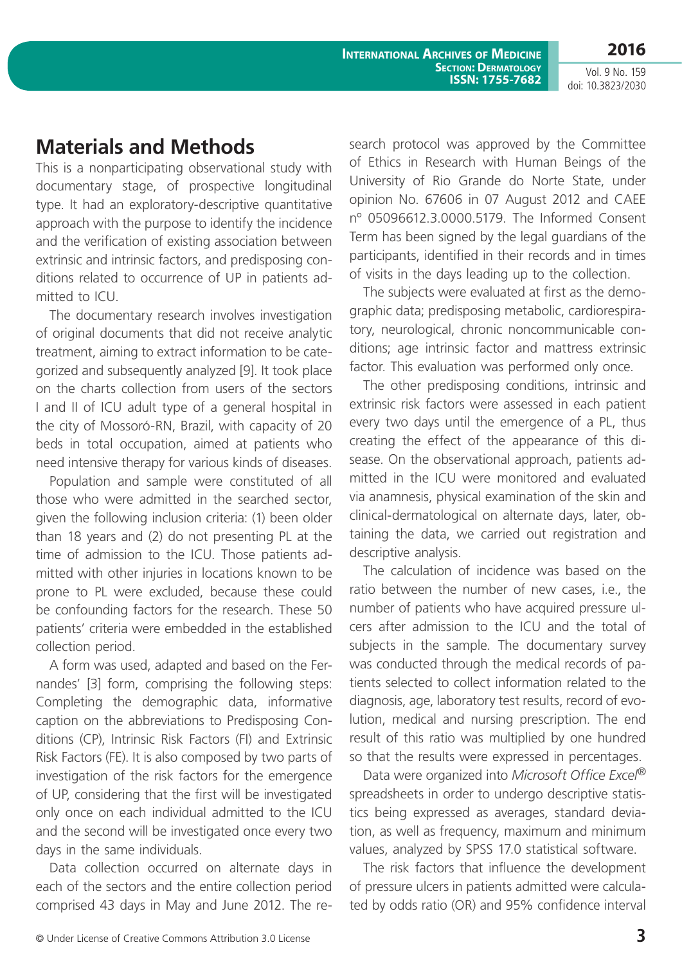## **Materials and Methods**

This is a nonparticipating observational study with documentary stage, of prospective longitudinal type. It had an exploratory-descriptive quantitative approach with the purpose to identify the incidence and the verification of existing association between extrinsic and intrinsic factors, and predisposing conditions related to occurrence of UP in patients admitted to ICU.

The documentary research involves investigation of original documents that did not receive analytic treatment, aiming to extract information to be categorized and subsequently analyzed [9]. It took place on the charts collection from users of the sectors I and II of ICU adult type of a general hospital in the city of Mossoró-RN, Brazil, with capacity of 20 beds in total occupation, aimed at patients who need intensive therapy for various kinds of diseases.

Population and sample were constituted of all those who were admitted in the searched sector, given the following inclusion criteria: (1) been older than 18 years and (2) do not presenting PL at the time of admission to the ICU. Those patients admitted with other injuries in locations known to be prone to PL were excluded, because these could be confounding factors for the research. These 50 patients' criteria were embedded in the established collection period.

A form was used, adapted and based on the Fernandes' [3] form, comprising the following steps: Completing the demographic data, informative caption on the abbreviations to Predisposing Conditions (CP), Intrinsic Risk Factors (FI) and Extrinsic Risk Factors (FE). It is also composed by two parts of investigation of the risk factors for the emergence of UP, considering that the first will be investigated only once on each individual admitted to the ICU and the second will be investigated once every two days in the same individuals.

Data collection occurred on alternate days in each of the sectors and the entire collection period comprised 43 days in May and June 2012. The research protocol was approved by the Committee of Ethics in Research with Human Beings of the University of Rio Grande do Norte State, under opinion No. 67606 in 07 August 2012 and CAEE nº 05096612.3.0000.5179. The Informed Consent Term has been signed by the legal guardians of the participants, identified in their records and in times of visits in the days leading up to the collection.

The subjects were evaluated at first as the demographic data; predisposing metabolic, cardiorespiratory, neurological, chronic noncommunicable conditions; age intrinsic factor and mattress extrinsic factor. This evaluation was performed only once.

The other predisposing conditions, intrinsic and extrinsic risk factors were assessed in each patient every two days until the emergence of a PL, thus creating the effect of the appearance of this disease. On the observational approach, patients admitted in the ICU were monitored and evaluated via anamnesis, physical examination of the skin and clinical-dermatological on alternate days, later, obtaining the data, we carried out registration and descriptive analysis.

The calculation of incidence was based on the ratio between the number of new cases, i.e., the number of patients who have acquired pressure ulcers after admission to the ICU and the total of subjects in the sample. The documentary survey was conducted through the medical records of patients selected to collect information related to the diagnosis, age, laboratory test results, record of evolution, medical and nursing prescription. The end result of this ratio was multiplied by one hundred so that the results were expressed in percentages.

Data were organized into *Microsoft Office Excel®*  spreadsheets in order to undergo descriptive statistics being expressed as averages, standard deviation, as well as frequency, maximum and minimum values, analyzed by SPSS 17.0 statistical software.

The risk factors that influence the development of pressure ulcers in patients admitted were calculated by odds ratio (OR) and 95% confidence interval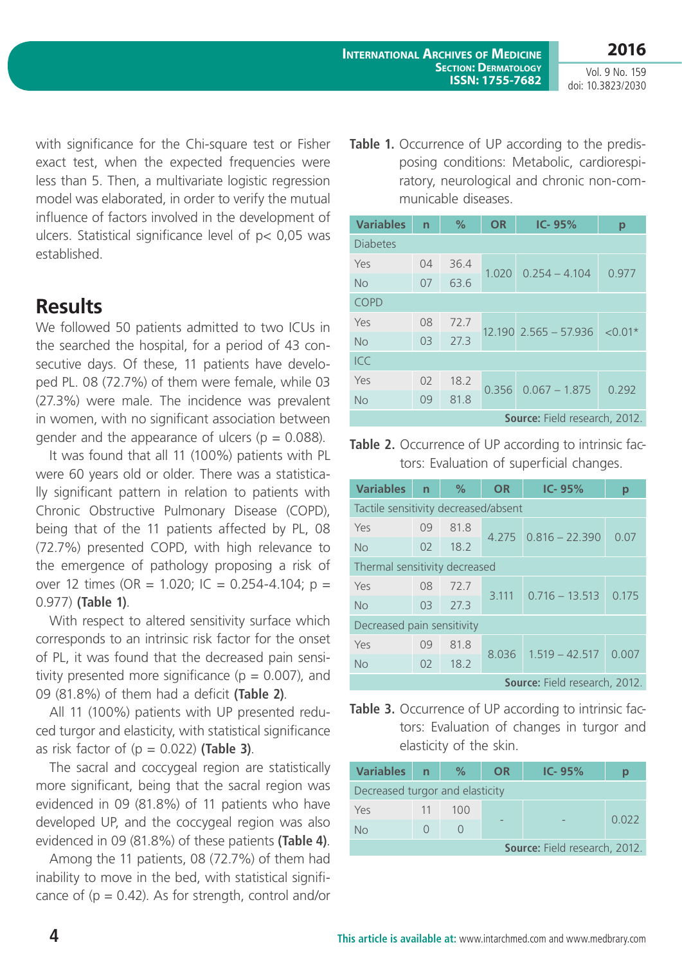with significance for the Chi-square test or Fisher exact test, when the expected frequencies were less than 5. Then, a multivariate logistic regression model was elaborated, in order to verify the mutual influence of factors involved in the development of ulcers. Statistical significance level of p< 0,05 was established.

### **Results**

We followed 50 patients admitted to two ICUs in the searched the hospital, for a period of 43 consecutive days. Of these, 11 patients have developed PL. 08 (72.7%) of them were female, while 03 (27.3%) were male. The incidence was prevalent in women, with no significant association between gender and the appearance of ulcers ( $p = 0.088$ ).

It was found that all 11 (100%) patients with PL were 60 years old or older. There was a statistically significant pattern in relation to patients with Chronic Obstructive Pulmonary Disease (COPD), being that of the 11 patients affected by PL, 08 (72.7%) presented COPD, with high relevance to the emergence of pathology proposing a risk of over 12 times (OR = 1.020; IC = 0.254-4.104; p = 0.977) **(Table 1)**.

With respect to altered sensitivity surface which corresponds to an intrinsic risk factor for the onset of PL, it was found that the decreased pain sensitivity presented more significance ( $p = 0.007$ ), and 09 (81.8%) of them had a deficit **(Table 2)**.

All 11 (100%) patients with UP presented reduced turgor and elasticity, with statistical significance as risk factor of (p = 0.022) **(Table 3)**.

The sacral and coccygeal region are statistically more significant, being that the sacral region was evidenced in 09 (81.8%) of 11 patients who have developed UP, and the coccygeal region was also evidenced in 09 (81.8%) of these patients **(Table 4)**.

Among the 11 patients, 08 (72.7%) of them had inability to move in the bed, with statistical significance of  $(p = 0.42)$ . As for strength, control and/or Table 1. Occurrence of UP according to the predisposing conditions: Metabolic, cardiorespiratory, neurological and chronic non-communicable diseases.

| <b>Variables</b>                     | $\overline{n}$ | $\%$ | <b>OR</b> | IC-95%                    | р          |  |
|--------------------------------------|----------------|------|-----------|---------------------------|------------|--|
| <b>Diabetes</b>                      |                |      |           |                           |            |  |
| Yes                                  | 04             | 36.4 | 1.020     | $0.254 - 4.104$           |            |  |
| <b>No</b>                            | 07             | 63.6 |           |                           | 0.977      |  |
| <b>COPD</b>                          |                |      |           |                           |            |  |
| Yes                                  | 08             | 72.7 |           | $12.190$ $2.565 - 57.936$ |            |  |
| <b>No</b>                            | 03             | 27.3 |           |                           | ${<}0.01*$ |  |
| ICC                                  |                |      |           |                           |            |  |
| Yes                                  | 02             | 18.2 |           |                           | 0.292      |  |
| <b>No</b>                            | 09             | 81.8 | 0.356     | $0.067 - 1.875$           |            |  |
| <b>Source:</b> Field research, 2012. |                |      |           |                           |            |  |

Table 2. Occurrence of UP according to intrinsic factors: Evaluation of superficial changes.

| <b>Variables</b>                     | $\mathsf{n}$ | $\%$ | <b>OR</b> | $IC - 95%$               | р     |  |
|--------------------------------------|--------------|------|-----------|--------------------------|-------|--|
| Tactile sensitivity decreased/absent |              |      |           |                          |       |  |
| Yes                                  | 09           | 81.8 |           | $4.275$ $0.816 - 22.390$ | 0.07  |  |
| <b>No</b>                            | 02           | 18.2 |           |                          |       |  |
| Thermal sensitivity decreased        |              |      |           |                          |       |  |
| Yes                                  | 08           | 72.7 | 3.111     | $0.716 - 13.513$         | 0.175 |  |
| No                                   | 03           | 27.3 |           |                          |       |  |
| Decreased pain sensitivity           |              |      |           |                          |       |  |
| Yes                                  | 09           | 81.8 |           | $8.036$ $1.519 - 42.517$ | 0.007 |  |
| No                                   | 02           | 18.2 |           |                          |       |  |
| <b>Source:</b> Field research, 2012. |              |      |           |                          |       |  |

Table 3. Occurrence of UP according to intrinsic factors: Evaluation of changes in turgor and elasticity of the skin.

| <b>Variables</b>                | n  | $\%$ | <b>OR</b> | $IC - 95%$ |       |  |
|---------------------------------|----|------|-----------|------------|-------|--|
| Decreased turgor and elasticity |    |      |           |            |       |  |
| Yes                             | 11 | 100  |           |            |       |  |
| No                              |    |      |           |            | 0.022 |  |
| Source: Field research, 2012.   |    |      |           |            |       |  |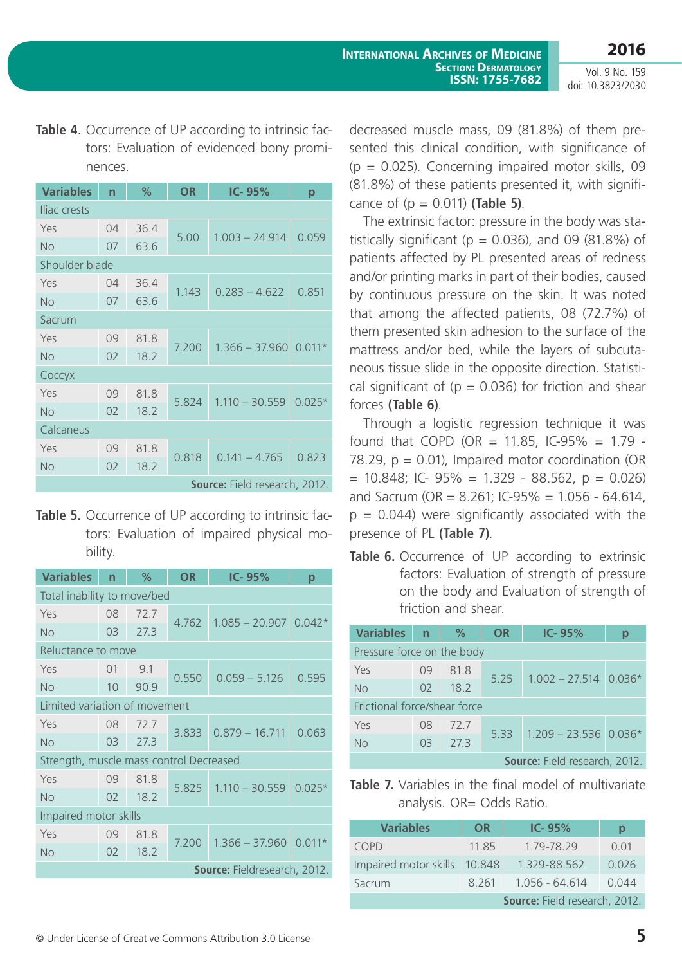Table 4. Occurrence of UP according to intrinsic factors: Evaluation of evidenced bony prominences.

| <b>Variables</b>              | $\overline{n}$ | %    | <b>OR</b> | IC-95%                  | p        |  |  |
|-------------------------------|----------------|------|-----------|-------------------------|----------|--|--|
| Iliac crests                  |                |      |           |                         |          |  |  |
| Yes                           | 04             | 36.4 |           | $1.003 - 24.914$        | 0.059    |  |  |
| <b>No</b>                     | 07             | 63.6 | 5.00      |                         |          |  |  |
| Shoulder blade                |                |      |           |                         |          |  |  |
| Yes                           | 04             | 36.4 | 1.143     | $0.283 - 4.622$         | 0.851    |  |  |
| <b>No</b>                     | 07             | 63.6 |           |                         |          |  |  |
| Sacrum                        |                |      |           |                         |          |  |  |
| Yes                           | 09             | 81.8 | 7.200     |                         |          |  |  |
| <b>No</b>                     | 02             | 18.2 |           | $1.366 - 37.960$ 0.011* |          |  |  |
| Соссух                        |                |      |           |                         |          |  |  |
| Yes                           | 09             | 81.8 | 5.824     | $1.110 - 30.559$        | $0.025*$ |  |  |
| <b>No</b>                     | 02             | 18.2 |           |                         |          |  |  |
| Calcaneus                     |                |      |           |                         |          |  |  |
| Yes                           | 09             | 81.8 | 0.818     | $0.141 - 4.765$         | 0.823    |  |  |
| <b>No</b>                     | 02             | 18.2 |           |                         |          |  |  |
| Source: Field research, 2012. |                |      |           |                         |          |  |  |

Table 5. Occurrence of UP according to intrinsic factors: Evaluation of impaired physical mobility.

| <b>Variables</b>                        | $\overline{ }$ | $\%$ | <b>OR</b> | $IC - 95%$              | p        |  |  |
|-----------------------------------------|----------------|------|-----------|-------------------------|----------|--|--|
| Total inability to move/bed             |                |      |           |                         |          |  |  |
| Yes                                     | 08             | 72.7 |           | $1.085 - 20.907$ 0.042* |          |  |  |
| No                                      | 03             | 27.3 | 4.762     |                         |          |  |  |
| Reluctance to move                      |                |      |           |                         |          |  |  |
| Yes                                     | 01             | 9.1  |           | $0.059 - 5.126$         | 0.595    |  |  |
| <b>No</b>                               | 10             | 90.9 | 0.550     |                         |          |  |  |
| Limited variation of movement           |                |      |           |                         |          |  |  |
| Yes                                     | 08             | 72.7 | 3.833     | $0.879 - 16.711$        | 0.063    |  |  |
| <b>No</b>                               | 03             | 27.3 |           |                         |          |  |  |
| Strength, muscle mass control Decreased |                |      |           |                         |          |  |  |
| Yes                                     | 09             | 81.8 | 5.825     | $1.110 - 30.559$        | $0.025*$ |  |  |
| <b>No</b>                               | 02             | 18.2 |           |                         |          |  |  |
| Impaired motor skills                   |                |      |           |                         |          |  |  |
| Yes                                     | 09             | 81.8 | 7.200     | $1.366 - 37.960$        | $0.011*$ |  |  |
| <b>No</b>                               | 02             | 18.2 |           |                         |          |  |  |
| Source: Fieldresearch, 2012.            |                |      |           |                         |          |  |  |

decreased muscle mass, 09 (81.8%) of them presented this clinical condition, with significance of  $(p = 0.025)$ . Concerning impaired motor skills, 09 (81.8%) of these patients presented it, with significance of (p = 0.011) **(Table 5)**.

The extrinsic factor: pressure in the body was statistically significant ( $p = 0.036$ ), and 09 (81.8%) of patients affected by PL presented areas of redness and/or printing marks in part of their bodies, caused by continuous pressure on the skin. It was noted that among the affected patients, 08 (72.7%) of them presented skin adhesion to the surface of the mattress and/or bed, while the layers of subcutaneous tissue slide in the opposite direction. Statistical significant of ( $p = 0.036$ ) for friction and shear forces **(Table 6)**.

Through a logistic regression technique it was found that COPD (OR = 11.85, IC-95% = 1.79 -78.29,  $p = 0.01$ ), Impaired motor coordination (OR  $= 10.848$ ; IC- 95%  $= 1.329 - 88.562$ ,  $p = 0.026$ ) and Sacrum (OR =  $8.261$ ; IC-95% = 1.056 - 64.614,  $p = 0.044$ ) were significantly associated with the presence of PL **(Table 7)**.

**Table 6.** Occurrence of UP according to extrinsic factors: Evaluation of strength of pressure on the body and Evaluation of strength of friction and shear.

| <b>Variables</b>                     | $\overline{n}$ | $\%$    | <b>OR</b> | $IC - 95%$              | D |  |
|--------------------------------------|----------------|---------|-----------|-------------------------|---|--|
| Pressure force on the body           |                |         |           |                         |   |  |
| Yes                                  | 09             | 81.8    |           | $1.002 - 27.514$ 0.036* |   |  |
| <b>No</b>                            | 02             | 18.2    | 5.25      |                         |   |  |
| Frictional force/shear force         |                |         |           |                         |   |  |
| Yes                                  | 08             | 72.7    | 533       | $1.209 - 23.536$ 0.036* |   |  |
| <b>No</b>                            | 0 <sup>3</sup> | $-27.3$ |           |                         |   |  |
| <b>Source:</b> Field research, 2012. |                |         |           |                         |   |  |

**Table 7.** Variables in the final model of multivariate analysis. OR= Odds Ratio.

| <b>Variables</b>              | <b>OR</b> | $IC - 95%$       | р     |  |  |
|-------------------------------|-----------|------------------|-------|--|--|
| COPD                          | 11.85     | 1.79-78.29       | 0.01  |  |  |
| Impaired motor skills         | 10.848    | 1.329-88.562     | 0.026 |  |  |
| Sacrum                        | 8 2 6 1   | $1.056 - 64.614$ | 0.044 |  |  |
| Source: Field research, 2012. |           |                  |       |  |  |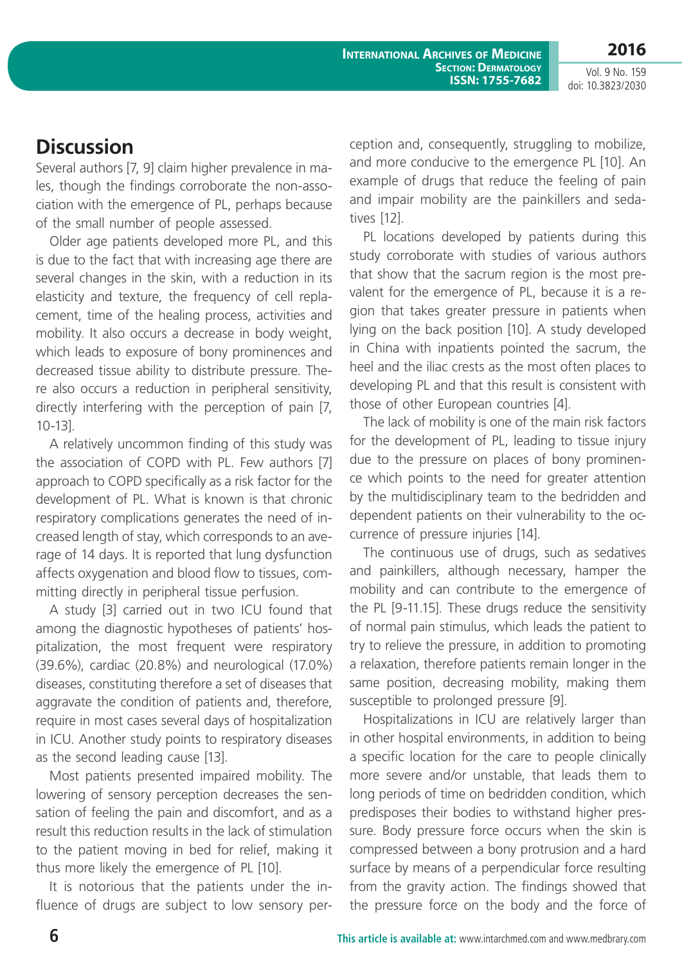**International Archives of Medicine Section: Dermatology ISSN: 1755-7682**

Vol. 9 No. 159 doi: 10.3823/2030

**2016**

#### **Discussion**

Several authors [7, 9] claim higher prevalence in males, though the findings corroborate the non-association with the emergence of PL, perhaps because of the small number of people assessed.

Older age patients developed more PL, and this is due to the fact that with increasing age there are several changes in the skin, with a reduction in its elasticity and texture, the frequency of cell replacement, time of the healing process, activities and mobility. It also occurs a decrease in body weight, which leads to exposure of bony prominences and decreased tissue ability to distribute pressure. There also occurs a reduction in peripheral sensitivity, directly interfering with the perception of pain [7, 10-13].

A relatively uncommon finding of this study was the association of COPD with PL. Few authors [7] approach to COPD specifically as a risk factor for the development of PL. What is known is that chronic respiratory complications generates the need of increased length of stay, which corresponds to an average of 14 days. It is reported that lung dysfunction affects oxygenation and blood flow to tissues, committing directly in peripheral tissue perfusion.

A study [3] carried out in two ICU found that among the diagnostic hypotheses of patients' hospitalization, the most frequent were respiratory (39.6%), cardiac (20.8%) and neurological (17.0%) diseases, constituting therefore a set of diseases that aggravate the condition of patients and, therefore, require in most cases several days of hospitalization in ICU. Another study points to respiratory diseases as the second leading cause [13].

Most patients presented impaired mobility. The lowering of sensory perception decreases the sensation of feeling the pain and discomfort, and as a result this reduction results in the lack of stimulation to the patient moving in bed for relief, making it thus more likely the emergence of PL [10].

It is notorious that the patients under the influence of drugs are subject to low sensory perception and, consequently, struggling to mobilize, and more conducive to the emergence PL [10]. An example of drugs that reduce the feeling of pain and impair mobility are the painkillers and sedatives [12].

PL locations developed by patients during this study corroborate with studies of various authors that show that the sacrum region is the most prevalent for the emergence of PL, because it is a region that takes greater pressure in patients when lying on the back position [10]. A study developed in China with inpatients pointed the sacrum, the heel and the iliac crests as the most often places to developing PL and that this result is consistent with those of other European countries [4].

The lack of mobility is one of the main risk factors for the development of PL, leading to tissue injury due to the pressure on places of bony prominence which points to the need for greater attention by the multidisciplinary team to the bedridden and dependent patients on their vulnerability to the occurrence of pressure injuries [14].

The continuous use of drugs, such as sedatives and painkillers, although necessary, hamper the mobility and can contribute to the emergence of the PL [9-11.15]. These drugs reduce the sensitivity of normal pain stimulus, which leads the patient to try to relieve the pressure, in addition to promoting a relaxation, therefore patients remain longer in the same position, decreasing mobility, making them susceptible to prolonged pressure [9].

Hospitalizations in ICU are relatively larger than in other hospital environments, in addition to being a specific location for the care to people clinically more severe and/or unstable, that leads them to long periods of time on bedridden condition, which predisposes their bodies to withstand higher pressure. Body pressure force occurs when the skin is compressed between a bony protrusion and a hard surface by means of a perpendicular force resulting from the gravity action. The findings showed that the pressure force on the body and the force of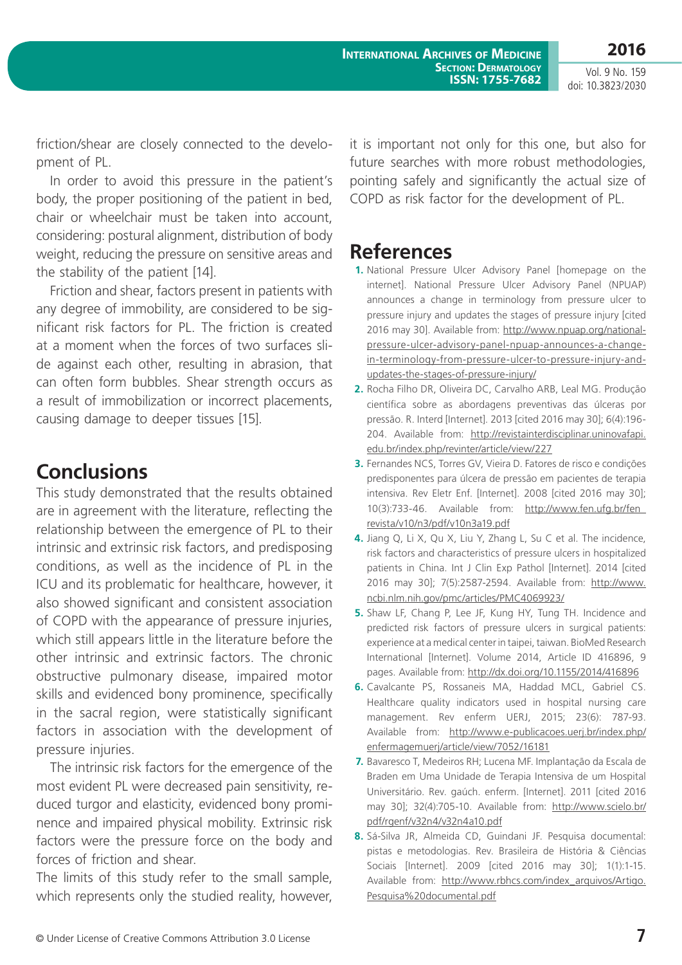friction/shear are closely connected to the development of PL.

In order to avoid this pressure in the patient's body, the proper positioning of the patient in bed, chair or wheelchair must be taken into account, considering: postural alignment, distribution of body weight, reducing the pressure on sensitive areas and the stability of the patient [14].

Friction and shear, factors present in patients with any degree of immobility, are considered to be significant risk factors for PL. The friction is created at a moment when the forces of two surfaces slide against each other, resulting in abrasion, that can often form bubbles. Shear strength occurs as a result of immobilization or incorrect placements, causing damage to deeper tissues [15].

#### **Conclusions**

This study demonstrated that the results obtained are in agreement with the literature, reflecting the relationship between the emergence of PL to their intrinsic and extrinsic risk factors, and predisposing conditions, as well as the incidence of PL in the ICU and its problematic for healthcare, however, it also showed significant and consistent association of COPD with the appearance of pressure injuries, which still appears little in the literature before the other intrinsic and extrinsic factors. The chronic obstructive pulmonary disease, impaired motor skills and evidenced bony prominence, specifically in the sacral region, were statistically significant factors in association with the development of pressure injuries.

The intrinsic risk factors for the emergence of the most evident PL were decreased pain sensitivity, reduced turgor and elasticity, evidenced bony prominence and impaired physical mobility. Extrinsic risk factors were the pressure force on the body and forces of friction and shear.

The limits of this study refer to the small sample, which represents only the studied reality, however, it is important not only for this one, but also for future searches with more robust methodologies, pointing safely and significantly the actual size of COPD as risk factor for the development of PL.

# **References**

- **1.** National Pressure Ulcer Advisory Panel [homepage on the internet]. National Pressure Ulcer Advisory Panel (NPUAP) announces a change in terminology from pressure ulcer to pressure injury and updates the stages of pressure injury [cited 2016 may 30]. Available from: [http://www.npuap.org/national](http://www.npuap.org/national-pressure-ulcer-advisory-panel-npuap-announces-a-change-in-terminology-from-pressure-ulcer-to-pressure-injury-and-updates-the-stages-of-pressure-injury/)[pressure-ulcer-advisory-panel-npuap-announces-a-change](http://www.npuap.org/national-pressure-ulcer-advisory-panel-npuap-announces-a-change-in-terminology-from-pressure-ulcer-to-pressure-injury-and-updates-the-stages-of-pressure-injury/)[in-terminology-from-pressure-ulcer-to-pressure-injury-and](http://www.npuap.org/national-pressure-ulcer-advisory-panel-npuap-announces-a-change-in-terminology-from-pressure-ulcer-to-pressure-injury-and-updates-the-stages-of-pressure-injury/)[updates-the-stages-of-pressure-injury/](http://www.npuap.org/national-pressure-ulcer-advisory-panel-npuap-announces-a-change-in-terminology-from-pressure-ulcer-to-pressure-injury-and-updates-the-stages-of-pressure-injury/)
- **2.** Rocha Filho DR, Oliveira DC, Carvalho ARB, Leal MG. Produção científica sobre as abordagens preventivas das úlceras por pressão. R. Interd [Internet]. 2013 [cited 2016 may 30]; 6(4):196- 204. Available from: [http://revistainterdisciplinar.uninovafapi.](http://revistainterdisciplinar.uninovafapi.edu.br/index.php/revinter/article/view/227) [edu.br/index.php/revinter/article/view/227](http://revistainterdisciplinar.uninovafapi.edu.br/index.php/revinter/article/view/227)
- **3.** Fernandes NCS, Torres GV, Vieira D. Fatores de risco e condições predisponentes para úlcera de pressão em pacientes de terapia intensiva. Rev Eletr Enf. [Internet]. 2008 [cited 2016 may 30]; 10(3):733-46. Available from: [http://www.fen.ufg.br/fen\\_](http://www.fen.ufg.br/fen_revista/v10/n3/pdf/v10n3a19.pdf) [revista/v10/n3/pdf/v10n3a19.pdf](http://www.fen.ufg.br/fen_revista/v10/n3/pdf/v10n3a19.pdf)
- **4.** Jiang Q, Li X, Qu X, Liu Y, Zhang L, Su C et al. The incidence, risk factors and characteristics of pressure ulcers in hospitalized patients in China. Int J Clin Exp Pathol [Internet]. 2014 [cited 2016 may 30]; 7(5):2587-2594. Available from: [http://www.](http://www.ncbi.nlm.nih.gov/pmc/articles/PMC4069923/) [ncbi.nlm.nih.gov/pmc/articles/PMC4069923/](http://www.ncbi.nlm.nih.gov/pmc/articles/PMC4069923/)
- **5.** Shaw LF, Chang P, Lee JF, Kung HY, Tung TH. Incidence and predicted risk factors of pressure ulcers in surgical patients: experience at a medical center in taipei, taiwan. BioMed Research International [Internet]. Volume 2014, Article ID 416896, 9 pages. Available from: <http://dx.doi.org/10.1155/2014/416896>
- **6.** Cavalcante PS, Rossaneis MA, Haddad MCL, Gabriel CS. Healthcare quality indicators used in hospital nursing care management. Rev enferm UERJ, 2015; 23(6): 787-93. Available from: [http://www.e-publicacoes.uerj.br/index.php/](http://www.e-publicacoes.uerj.br/index.php/enfermagemuerj/article/view/7052/16181) [enfermagemuerj/article/view/7052/16181](http://www.e-publicacoes.uerj.br/index.php/enfermagemuerj/article/view/7052/16181)
- **7.** Bavaresco T, Medeiros RH; Lucena MF. Implantação da Escala de Braden em Uma Unidade de Terapia Intensiva de um Hospital Universitário. Rev. gaúch. enferm. [Internet]. 2011 [cited 2016 may 30]; 32(4):705-10. Available from: [http://www.scielo.br/](http://www.scielo.br/pdf/rgenf/v32n4/v32n4a10.pdf) [pdf/rgenf/v32n4/v32n4a10.pdf](http://www.scielo.br/pdf/rgenf/v32n4/v32n4a10.pdf)
- **8.** Sá-Silva JR, Almeida CD, Guindani JF. Pesquisa documental: pistas e metodologias. Rev. Brasileira de História & Ciências Sociais [Internet]. 2009 [cited 2016 may 30]; 1(1):1-15. Available from: [http://www.rbhcs.com/index\\_arquivos/Artigo.](http://www.rbhcs.com/index_arquivos/Artigo.Pesquisa%20documental.pdf) [Pesquisa%20documental.pdf](http://www.rbhcs.com/index_arquivos/Artigo.Pesquisa%20documental.pdf)